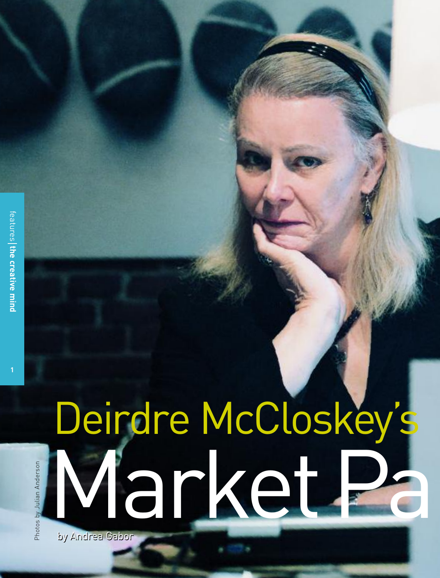**1**

# by Andrea Gabor by Andrea Gabor Deirdre McCloskey's Market 2

Photos by Julian Anderson Photos by Julian Anderson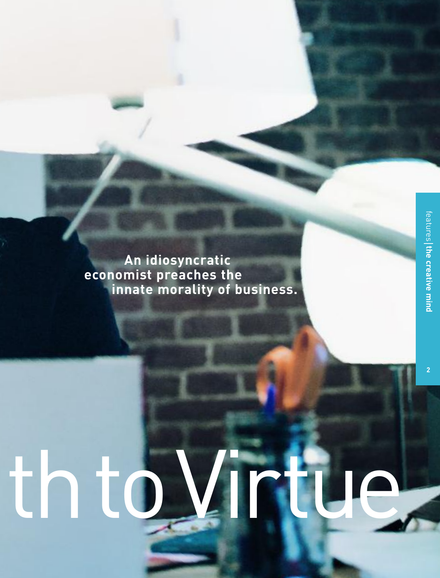**2**

**An idiosyncratic economist preaches the innate morality of business.**

# th to Virtue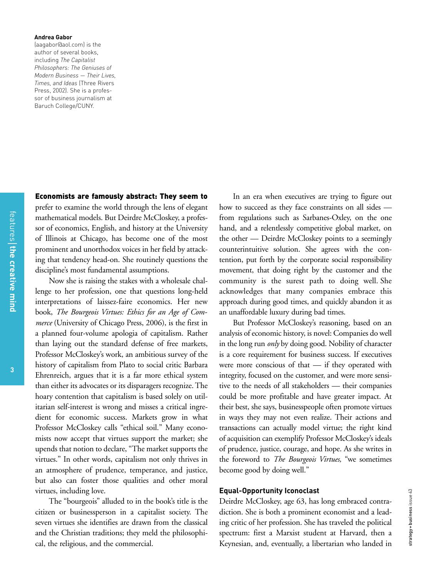### **Andrea Gabor**

(aagabor@aol.com) is the author of several books, including *The Capitalist Philosophers: The Geniuses of Modern Business — Their Lives, Times, and Ideas* (Three Rivers Press, 2002). She is a professor of business journalism at Baruch College/CUNY.

# **Economists are famously abstract: They seem to**

prefer to examine the world through the lens of elegant mathematical models. But Deirdre McCloskey, a professor of economics, English, and history at the University of Illinois at Chicago, has become one of the most prominent and unorthodox voices in her field by attacking that tendency head-on. She routinely questions the discipline's most fundamental assumptions.

Now she is raising the stakes with a wholesale challenge to her profession, one that questions long-held interpretations of laissez-faire economics. Her new book, *The Bourgeois Virtues: Ethics for an Age of Commerce* (University of Chicago Press, 2006), is the first in a planned four-volume apologia of capitalism. Rather than laying out the standard defense of free markets, Professor McCloskey's work, an ambitious survey of the history of capitalism from Plato to social critic Barbara Ehrenreich, argues that it is a far more ethical system than either its advocates or its disparagers recognize. The hoary contention that capitalism is based solely on utilitarian self-interest is wrong and misses a critical ingredient for economic success. Markets grow in what Professor McCloskey calls "ethical soil." Many economists now accept that virtues support the market; she upends that notion to declare, "The market supports the virtues." In other words, capitalism not only thrives in an atmosphere of prudence, temperance, and justice, but also can foster those qualities and other moral virtues, including love.

The "bourgeois" alluded to in the book's title is the citizen or businessperson in a capitalist society. The seven virtues she identifies are drawn from the classical and the Christian traditions; they meld the philosophical, the religious, and the commercial.

In an era when executives are trying to figure out how to succeed as they face constraints on all sides from regulations such as Sarbanes-Oxley, on the one hand, and a relentlessly competitive global market, on the other — Deirdre McCloskey points to a seemingly counterintuitive solution. She agrees with the contention, put forth by the corporate social responsibility movement, that doing right by the customer and the community is the surest path to doing well. She acknowledges that many companies embrace this approach during good times, and quickly abandon it as an unaffordable luxury during bad times.

But Professor McCloskey's reasoning, based on an analysis of economic history, is novel: Companies do well in the long run *only* by doing good. Nobility of character is a core requirement for business success. If executives were more conscious of that — if they operated with integrity, focused on the customer, and were more sensitive to the needs of all stakeholders — their companies could be more profitable and have greater impact. At their best, she says, businesspeople often promote virtues in ways they may not even realize. Their actions and transactions can actually model virtue; the right kind of acquisition can exemplify Professor McCloskey's ideals of prudence, justice, courage, and hope. As she writes in the foreword to *The Bourgeois Virtues,* "we sometimes become good by doing well."

# **Equal-Opportunity Iconoclast**

Deirdre McCloskey, age 63, has long embraced contradiction. She is both a prominent economist and a leading critic of her profession. She has traveled the political spectrum: first a Marxist student at Harvard, then a Keynesian, and, eventually, a libertarian who landed in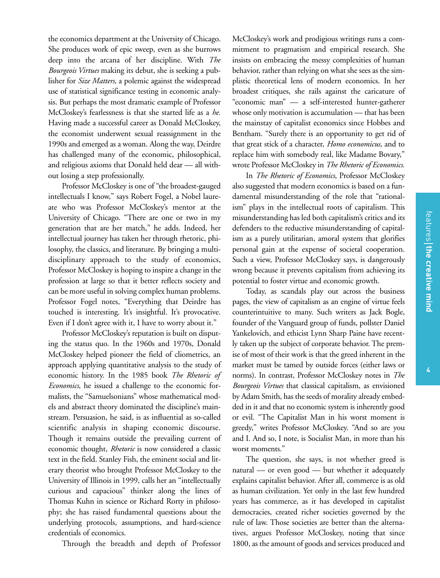the economics department at the University of Chicago. She produces work of epic sweep, even as she burrows deep into the arcana of her discipline. With *The Bourgeois Virtues* making its debut, she is seeking a publisher for *Size Matters,* a polemic against the widespread use of statistical significance testing in economic analysis. But perhaps the most dramatic example of Professor McCloskey's fearlessness is that she started life as a *he.* Having made a successful career as Donald McCloskey, the economist underwent sexual reassignment in the 1990s and emerged as a woman. Along the way, Deirdre has challenged many of the economic, philosophical, and religious axioms that Donald held dear — all without losing a step professionally.

Professor McCloskey is one of "the broadest-gauged intellectuals I know," says Robert Fogel, a Nobel laureate who was Professor McCloskey's mentor at the University of Chicago. "There are one or two in my generation that are her match," he adds. Indeed, her intellectual journey has taken her through rhetoric, philosophy, the classics, and literature. By bringing a multidisciplinary approach to the study of economics, Professor McCloskey is hoping to inspire a change in the profession at large so that it better reflects society and can be more useful in solving complex human problems. Professor Fogel notes, "Everything that Deirdre has touched is interesting. It's insightful. It's provocative. Even if I don't agree with it, I have to worry about it."

Professor McCloskey's reputation is built on disputing the status quo. In the 1960s and 1970s, Donald McCloskey helped pioneer the field of cliometrics, an approach applying quantitative analysis to the study of economic history. In the 1985 book *The Rhetoric of Economics*, he issued a challenge to the economic formalists, the "Samuelsonians" whose mathematical models and abstract theory dominated the discipline's mainstream*.* Persuasion, he said, is as influential as so-called scientific analysis in shaping economic discourse. Though it remains outside the prevailing current of economic thought, *Rhetoric* is now considered a classic text in the field. Stanley Fish, the eminent social and literary theorist who brought Professor McCloskey to the University of Illinois in 1999, calls her an "intellectually curious and capacious" thinker along the lines of Thomas Kuhn in science or Richard Rorty in philosophy; she has raised fundamental questions about the underlying protocols, assumptions, and hard-science credentials of economics.

Through the breadth and depth of Professor

McCloskey's work and prodigious writings runs a commitment to pragmatism and empirical research. She insists on embracing the messy complexities of human behavior, rather than relying on what she sees as the simplistic theoretical lens of modern economics. In her broadest critiques, she rails against the caricature of "economic man" — a self-interested hunter-gatherer whose only motivation is accumulation — that has been the mainstay of capitalist economics since Hobbes and Bentham. "Surely there is an opportunity to get rid of that great stick of a character, *Homo economicus,* and to replace him with somebody real, like Madame Bovary," wrote Professor McCloskey in *The Rhetoric of Economics.*

In *The Rhetoric of Economics*, Professor McCloskey also suggested that modern economics is based on a fundamental misunderstanding of the role that "rationalism" plays in the intellectual roots of capitalism. This misunderstanding has led both capitalism's critics and its defenders to the reductive misunderstanding of capitalism as a purely utilitarian, amoral system that glorifies personal gain at the expense of societal cooperation. Such a view, Professor McCloskey says, is dangerously wrong because it prevents capitalism from achieving its potential to foster virtue and economic growth.

Today, as scandals play out across the business pages, the view of capitalism as an engine of virtue feels counterintuitive to many. Such writers as Jack Bogle, founder of the Vanguard group of funds, pollster Daniel Yankelovich, and ethicist Lynn Sharp Paine have recently taken up the subject of corporate behavior. The premise of most of their work is that the greed inherent in the market must be tamed by outside forces (either laws or norms). In contrast, Professor McCloskey notes in *The Bourgeois Virtues* that classical capitalism, as envisioned by Adam Smith, has the seeds of morality already embedded in it and that no economic system is inherently good or evil. "The Capitalist Man in his worst moment is greedy," writes Professor McCloskey. "And so are you and I. And so, I note, is Socialist Man, in more than his worst moments."

The question, she says, is not whether greed is natural — or even good — but whether it adequately explains capitalist behavior. After all, commerce is as old as human civilization. Yet only in the last few hundred years has commerce, as it has developed in capitalist democracies, created richer societies governed by the rule of law. Those societies are better than the alternatives, argues Professor McCloskey, noting that since 1800, as the amount of goods and services produced and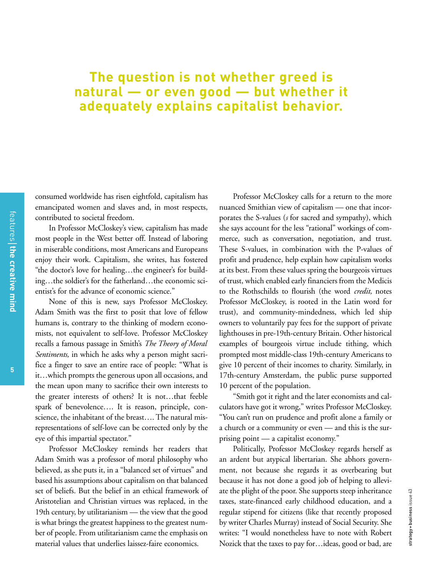# **The question is not whether greed is natural — or even good — but whether it adequately explains capitalist behavior.**

consumed worldwide has risen eightfold, capitalism has emancipated women and slaves and, in most respects, contributed to societal freedom.

In Professor McCloskey's view, capitalism has made most people in the West better off. Instead of laboring in miserable conditions, most Americans and Europeans enjoy their work. Capitalism, she writes, has fostered "the doctor's love for healing…the engineer's for building…the soldier's for the fatherland…the economic scientist's for the advance of economic science."

None of this is new, says Professor McCloskey. Adam Smith was the first to posit that love of fellow humans is, contrary to the thinking of modern economists, not equivalent to self-love. Professor McCloskey recalls a famous passage in Smith's *The Theory of Moral Sentiments,* in which he asks why a person might sacrifice a finger to save an entire race of people: "What is it…which prompts the generous upon all occasions, and the mean upon many to sacrifice their own interests to the greater interests of others? It is not…that feeble spark of benevolence…. It is reason, principle, conscience, the inhabitant of the breast…. The natural misrepresentations of self-love can be corrected only by the eye of this impartial spectator."

Professor McCloskey reminds her readers that Adam Smith was a professor of moral philosophy who believed, as she puts it, in a "balanced set of virtues" and based his assumptions about capitalism on that balanced set of beliefs. But the belief in an ethical framework of Aristotelian and Christian virtues was replaced, in the 19th century, by utilitarianism — the view that the good is what brings the greatest happiness to the greatest number of people. From utilitarianism came the emphasis on material values that underlies laissez-faire economics.

Professor McCloskey calls for a return to the more nuanced Smithian view of capitalism — one that incorporates the S-values (*s* for sacred and sympathy), which she says account for the less "rational" workings of commerce, such as conversation, negotiation, and trust. These S-values, in combination with the P-values of profit and prudence, help explain how capitalism works at its best. From these values spring the bourgeois virtues of trust, which enabled early financiers from the Medicis to the Rothschilds to flourish (the word *credit,* notes Professor McCloskey, is rooted in the Latin word for trust), and community-mindedness, which led ship owners to voluntarily pay fees for the support of private lighthouses in pre-19th-century Britain. Other historical examples of bourgeois virtue include tithing, which prompted most middle-class 19th-century Americans to give 10 percent of their incomes to charity. Similarly, in 17th-century Amsterdam, the public purse supported 10 percent of the population.

"Smith got it right and the later economists and calculators have got it wrong," writes Professor McCloskey. "You can't run on prudence and profit alone a family or a church or a community or even — and this is the surprising point — a capitalist economy."

Politically, Professor McCloskey regards herself as an ardent but atypical libertarian. She abhors government, not because she regards it as overbearing but because it has not done a good job of helping to alleviate the plight of the poor. She supports steep inheritance taxes, state-financed early childhood education, and a regular stipend for citizens (like that recently proposed by writer Charles Murray) instead of Social Security. She writes: "I would nonetheless have to note with Robert Nozick that the taxes to pay for…ideas, good or bad, are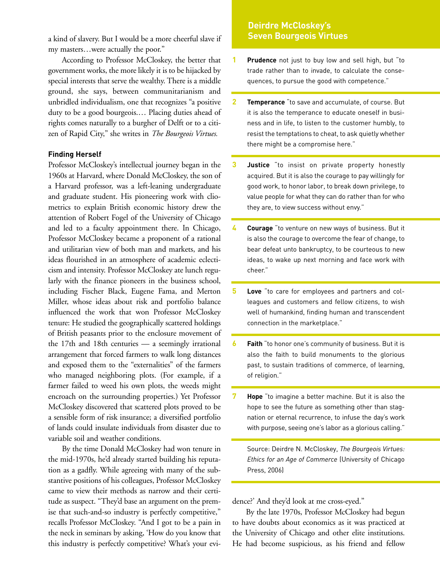a kind of slavery. But I would be a more cheerful slave if my masters…were actually the poor."

According to Professor McCloskey, the better that government works, the more likely it is to be hijacked by special interests that serve the wealthy. There is a middle ground, she says, between communitarianism and unbridled individualism, one that recognizes "a positive duty to be a good bourgeois.… Placing duties ahead of rights comes naturally to a burgher of Delft or to a citizen of Rapid City," she writes in *The Bourgeois Virtues.*

# **Finding Herself**

Professor McCloskey's intellectual journey began in the 1960s at Harvard, where Donald McCloskey, the son of a Harvard professor, was a left-leaning undergraduate and graduate student. His pioneering work with cliometrics to explain British economic history drew the attention of Robert Fogel of the University of Chicago and led to a faculty appointment there. In Chicago, Professor McCloskey became a proponent of a rational and utilitarian view of both man and markets, and his ideas flourished in an atmosphere of academic eclecticism and intensity. Professor McCloskey ate lunch regularly with the finance pioneers in the business school, including Fischer Black, Eugene Fama, and Merton Miller, whose ideas about risk and portfolio balance influenced the work that won Professor McCloskey tenure: He studied the geographically scattered holdings of British peasants prior to the enclosure movement of the 17th and 18th centuries — a seemingly irrational arrangement that forced farmers to walk long distances and exposed them to the "externalities" of the farmers who managed neighboring plots. (For example, if a farmer failed to weed his own plots, the weeds might encroach on the surrounding properties.) Yet Professor McCloskey discovered that scattered plots proved to be a sensible form of risk insurance; a diversified portfolio of lands could insulate individuals from disaster due to variable soil and weather conditions.

By the time Donald McCloskey had won tenure in the mid-1970s, he'd already started building his reputation as a gadfly. While agreeing with many of the substantive positions of his colleagues, Professor McCloskey came to view their methods as narrow and their certitude as suspect. "They'd base an argument on the premise that such-and-so industry is perfectly competitive," recalls Professor McCloskey. "And I got to be a pain in the neck in seminars by asking, 'How do you know that this industry is perfectly competitive? What's your evi-

# **Deirdre McCloskey's Seven Bourgeois Virtues**

- **1 Prudence** not just to buy low and sell high, but "to trade rather than to invade, to calculate the consequences, to pursue the good with competence."
- **2 Temperance** "to save and accumulate, of course. But it is also the temperance to educate oneself in business and in life, to listen to the customer humbly, to resist the temptations to cheat, to ask quietly whether there might be a compromise here."
- **3 Justice** "to insist on private property honestly acquired. But it is also the courage to pay willingly for good work, to honor labor, to break down privilege, to value people for what they can do rather than for who they are, to view success without envy."
- **4 Courage** "to venture on new ways of business. But it is also the courage to overcome the fear of change, to bear defeat unto bankruptcy, to be courteous to new ideas, to wake up next morning and face work with cheer."
- **5 Love** "to care for employees and partners and colleagues and customers and fellow citizens, to wish well of humankind, finding human and transcendent connection in the marketplace."
- **6 Faith** "to honor one's community of business. But it is also the faith to build monuments to the glorious past, to sustain traditions of commerce, of learning, of religion."
- **7 Hope** "to imagine a better machine. But it is also the hope to see the future as something other than stagnation or eternal recurrence, to infuse the day's work with purpose, seeing one's labor as a glorious calling."

Source: Deirdre N. McCloskey, *The Bourgeois Virtues: Ethics for an Age of Commerce* (University of Chicago Press, 2006)

dence?' And they'd look at me cross-eyed."

By the late 1970s, Professor McCloskey had begun to have doubts about economics as it was practiced at the University of Chicago and other elite institutions. He had become suspicious, as his friend and fellow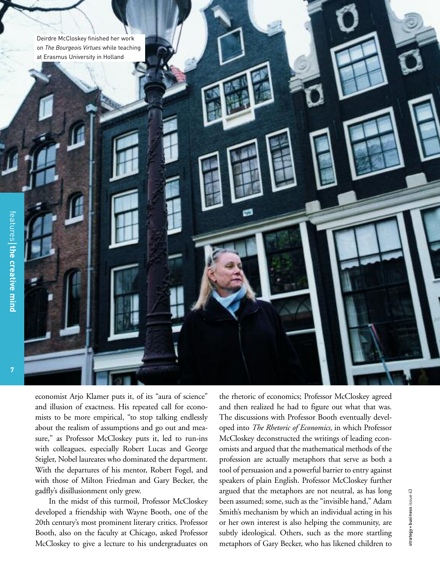Deirdre McCloskey finished her work on *The Bourgeois Virtues* while teaching at Erasmus University in Holland

**7**

economist Arjo Klamer puts it, of its "aura of science" and illusion of exactness. His repeated call for economists to be more empirical, "to stop talking endlessly about the realism of assumptions and go out and measure," as Professor McCloskey puts it, led to run-ins with colleagues, especially Robert Lucas and George Stigler, Nobel laureates who dominated the department. With the departures of his mentor, Robert Fogel, and with those of Milton Friedman and Gary Becker, the gadfly's disillusionment only grew.

In the midst of this turmoil, Professor McCloskey developed a friendship with Wayne Booth, one of the 20th century's most prominent literary critics. Professor Booth, also on the faculty at Chicago, asked Professor McCloskey to give a lecture to his undergraduates on

the rhetoric of economics; Professor McCloskey agreed and then realized he had to figure out what that was. The discussions with Professor Booth eventually developed into *The Rhetoric of Economics,* in which Professor McCloskey deconstructed the writings of leading economists and argued that the mathematical methods of the profession are actually metaphors that serve as both a tool of persuasion and a powerful barrier to entry against speakers of plain English. Professor McCloskey further argued that the metaphors are not neutral, as has long been assumed; some, such as the "invisible hand," Adam Smith's mechanism by which an individual acting in his or her own interest is also helping the community, are subtly ideological. Others, such as the more startling metaphors of Gary Becker, who has likened children to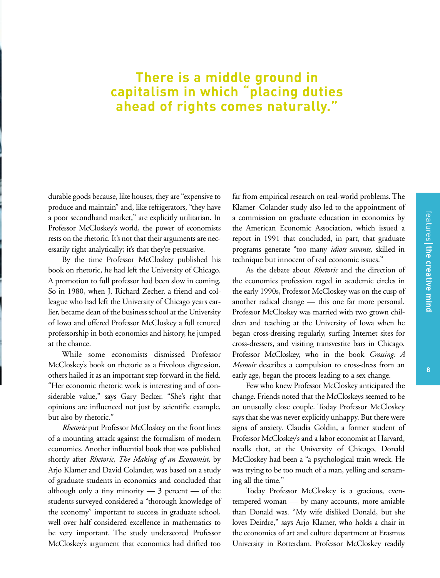durable goods because, like houses, they are "expensive to produce and maintain" and, like refrigerators, "they have a poor secondhand market," are explicitly utilitarian. In Professor McCloskey's world, the power of economists rests on the rhetoric. It's not that their arguments are necessarily right analytically; it's that they're persuasive.

By the time Professor McCloskey published his book on rhetoric, he had left the University of Chicago. A promotion to full professor had been slow in coming. So in 1980, when J. Richard Zecher, a friend and colleague who had left the University of Chicago years earlier, became dean of the business school at the University of Iowa and offered Professor McCloskey a full tenured professorship in both economics and history, he jumped at the chance.

While some economists dismissed Professor McCloskey's book on rhetoric as a frivolous digression, others hailed it as an important step forward in the field. "Her economic rhetoric work is interesting and of considerable value," says Gary Becker. "She's right that opinions are influenced not just by scientific example, but also by rhetoric."

*Rhetoric* put Professor McCloskey on the front lines of a mounting attack against the formalism of modern economics. Another influential book that was published shortly after *Rhetoric, The Making of an Economist,* by Arjo Klamer and David Colander, was based on a study of graduate students in economics and concluded that although only a tiny minority  $-3$  percent  $-$  of the students surveyed considered a "thorough knowledge of the economy" important to success in graduate school, well over half considered excellence in mathematics to be very important. The study underscored Professor McCloskey's argument that economics had drifted too far from empirical research on real-world problems. The Klamer–Colander study also led to the appointment of a commission on graduate education in economics by the American Economic Association, which issued a report in 1991 that concluded, in part, that graduate programs generate "too many *idiots savants,* skilled in technique but innocent of real economic issues."

As the debate about *Rhetoric* and the direction of the economics profession raged in academic circles in the early 1990s, Professor McCloskey was on the cusp of another radical change — this one far more personal. Professor McCloskey was married with two grown children and teaching at the University of Iowa when he began cross-dressing regularly, surfing Internet sites for cross-dressers, and visiting transvestite bars in Chicago. Professor McCloskey, who in the book *Crossing: A Memoir* describes a compulsion to cross-dress from an early age, began the process leading to a sex change.

Few who knew Professor McCloskey anticipated the change. Friends noted that the McCloskeys seemed to be an unusually close couple. Today Professor McCloskey says that she was never explicitly unhappy. But there were signs of anxiety. Claudia Goldin, a former student of Professor McCloskey's and a labor economist at Harvard, recalls that, at the University of Chicago, Donald McCloskey had been a "a psychological train wreck. He was trying to be too much of a man, yelling and screaming all the time."

Today Professor McCloskey is a gracious, eventempered woman — by many accounts, more amiable than Donald was. "My wife disliked Donald, but she loves Deirdre," says Arjo Klamer, who holds a chair in the economics of art and culture department at Erasmus University in Rotterdam. Professor McCloskey readily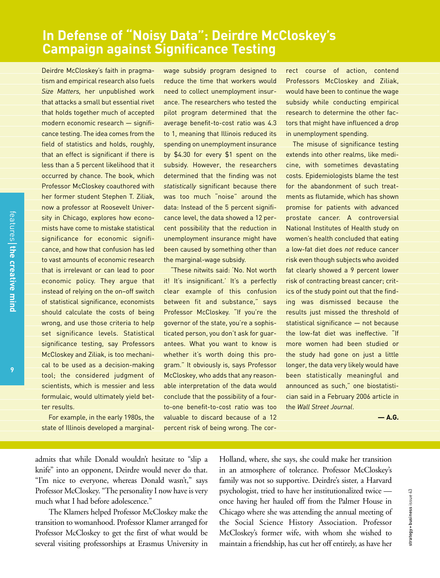# **In Defense of "Noisy Data": Deirdre McCloskey's Campaign against Significance Testing**

Deirdre McCloskey's faith in pragmatism and empirical research also fuels *Size Matters,* her unpublished work that attacks a small but essential rivet that holds together much of accepted modern economic research — significance testing. The idea comes from the field of statistics and holds, roughly, that an effect is significant if there is less than a 5 percent likelihood that it occurred by chance. The book, which Professor McCloskey coauthored with her former student Stephen T. Ziliak, now a professor at Roosevelt University in Chicago, explores how economists have come to mistake statistical significance for economic significance, and how that confusion has led to vast amounts of economic research that is irrelevant or can lead to poor economic policy. They argue that instead of relying on the on–off switch of statistical significance, economists should calculate the costs of being wrong, and use those criteria to help set significance levels. Statistical significance testing, say Professors McCloskey and Ziliak, is too mechanical to be used as a decision-making tool; the considered judgment of scientists, which is messier and less formulaic, would ultimately yield better results.

For example, in the early 1980s, the state of Illinois developed a marginalwage subsidy program designed to reduce the time that workers would need to collect unemployment insurance. The researchers who tested the pilot program determined that the average benefit-to-cost ratio was 4.3 to 1, meaning that Illinois reduced its spending on unemployment insurance by \$4.30 for every \$1 spent on the subsidy. However, the researchers determined that the finding was not *statistically* significant because there was too much "noise" around the data: Instead of the 5 percent significance level, the data showed a 12 percent possibility that the reduction in unemployment insurance might have been caused by something other than the marginal-wage subsidy.

"These nitwits said: 'No. Not worth it! It's insignificant.' It's a perfectly clear example of this confusion between fit and substance," says Professor McCloskey. "If you're the governor of the state, you're a sophisticated person, you don't ask for guarantees. What you want to know is whether it's worth doing this program." It obviously is, says Professor McCloskey, who adds that any reasonable interpretation of the data would conclude that the possibility of a fourto-one benefit-to-cost ratio was too valuable to discard because of a 12 percent risk of being wrong. The cor-

rect course of action, contend Professors McCloskey and Ziliak, would have been to continue the wage subsidy while conducting empirical research to determine the other factors that might have influenced a drop in unemployment spending.

The misuse of significance testing extends into other realms, like medicine, with sometimes devastating costs. Epidemiologists blame the test for the abandonment of such treatments as flutamide, which has shown promise for patients with advanced prostate cancer. A controversial National Institutes of Health study on women's health concluded that eating a low-fat diet does *not* reduce cancer risk even though subjects who avoided fat clearly showed a 9 percent lower risk of contracting breast cancer; critics of the study point out that the finding was dismissed because the results just missed the threshold of statistical significance — not because the low-fat diet was ineffective. "If more women had been studied or the study had gone on just a little longer, the data very likely would have been statistically meaningful and announced as such," one biostatistician said in a February 2006 article in the *Wall Street Journal*.

**— A.G.**

admits that while Donald wouldn't hesitate to "slip a knife" into an opponent, Deirdre would never do that. "I'm nice to everyone, whereas Donald wasn't," says Professor McCloskey. "The personality I now have is very much what I had before adolescence."

The Klamers helped Professor McCloskey make the transition to womanhood. Professor Klamer arranged for Professor McCloskey to get the first of what would be several visiting professorships at Erasmus University in Holland, where, she says, she could make her transition in an atmosphere of tolerance. Professor McCloskey's family was not so supportive. Deirdre's sister, a Harvard psychologist, tried to have her institutionalized twice once having her hauled off from the Palmer House in Chicago where she was attending the annual meeting of the Social Science History Association. Professor McCloskey's former wife, with whom she wished to maintain a friendship, has cut her off entirely, as have her